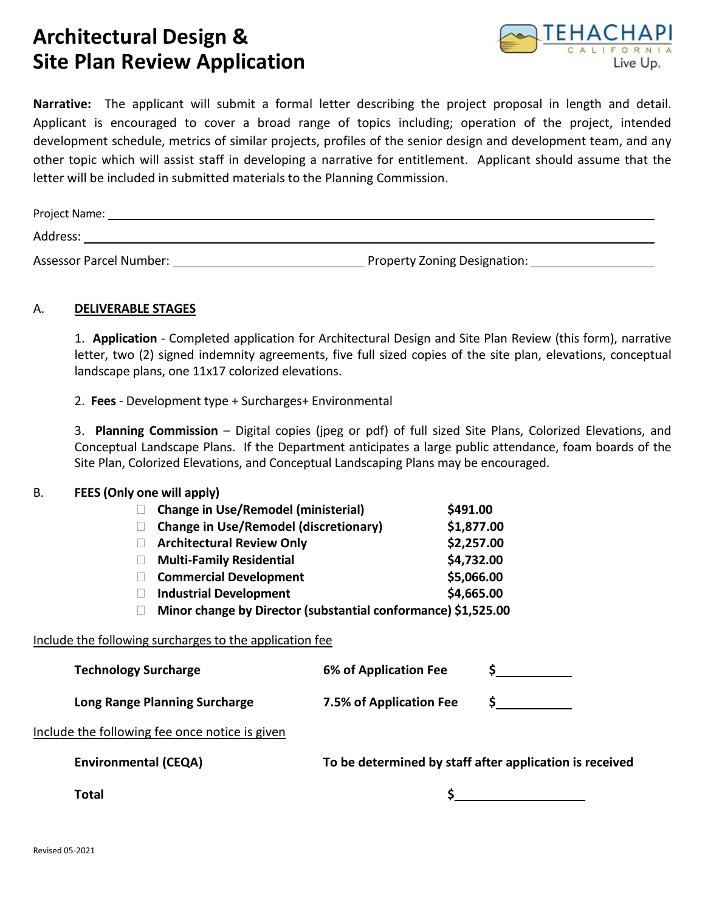## **Architectural Design & Site Plan Review Application**



**Narrative:** The applicant will submit a formal letter describing the project proposal in length and detail. Applicant is encouraged to cover a broad range of topics including; operation of the project, intended development schedule, metrics of similar projects, profiles of the senior design and development team, and any other topic which will assist staff in developing a narrative for entitlement. Applicant should assume that the letter will be included in submitted materials to the Planning Commission.

| Project Name:                  |                              |  |  |  |  |
|--------------------------------|------------------------------|--|--|--|--|
| Address:                       |                              |  |  |  |  |
| <b>Assessor Parcel Number:</b> | Property Zoning Designation: |  |  |  |  |

## A. **DELIVERABLE STAGES**

1. **Application** - Completed application for Architectural Design and Site Plan Review (this form), narrative letter, two (2) signed indemnity agreements, five full sized copies of the site plan, elevations, conceptual landscape plans, one 11x17 colorized elevations.

2. **Fees** - Development type + Surcharges+ Environmental

3. **Planning Commission** – Digital copies (jpeg or pdf) of full sized Site Plans, Colorized Elevations, and Conceptual Landscape Plans. If the Department anticipates a large public attendance, foam boards of the Site Plan, Colorized Elevations, and Conceptual Landscaping Plans may be encouraged.

## B. **FEES (Only one will apply)**

|                                                               | <b>Change in Use/Remodel (ministerial)</b>   |                         | \$491.00   |  |  |  |  |  |
|---------------------------------------------------------------|----------------------------------------------|-------------------------|------------|--|--|--|--|--|
|                                                               | <b>Change in Use/Remodel (discretionary)</b> |                         | \$1,877.00 |  |  |  |  |  |
|                                                               | <b>Architectural Review Only</b>             |                         | \$2,257.00 |  |  |  |  |  |
|                                                               | <b>Multi-Family Residential</b>              |                         | \$4,732.00 |  |  |  |  |  |
|                                                               | <b>Commercial Development</b>                |                         | \$5,066.00 |  |  |  |  |  |
|                                                               | <b>Industrial Development</b>                |                         | \$4,665.00 |  |  |  |  |  |
| Minor change by Director (substantial conformance) \$1,525.00 |                                              |                         |            |  |  |  |  |  |
| Include the following surcharges to the application fee       |                                              |                         |            |  |  |  |  |  |
| <b>Technology Surcharge</b>                                   |                                              | 6% of Application Fee   |            |  |  |  |  |  |
| Long Range Planning Surcharge                                 |                                              | 7.5% of Application Fee |            |  |  |  |  |  |

#### Include the following fee once notice is given

**Environmental (CEQA) To be determined by staff after application is received**

**Total \$\_\_\_\_\_\_\_\_\_\_\_\_\_\_\_\_\_\_\_**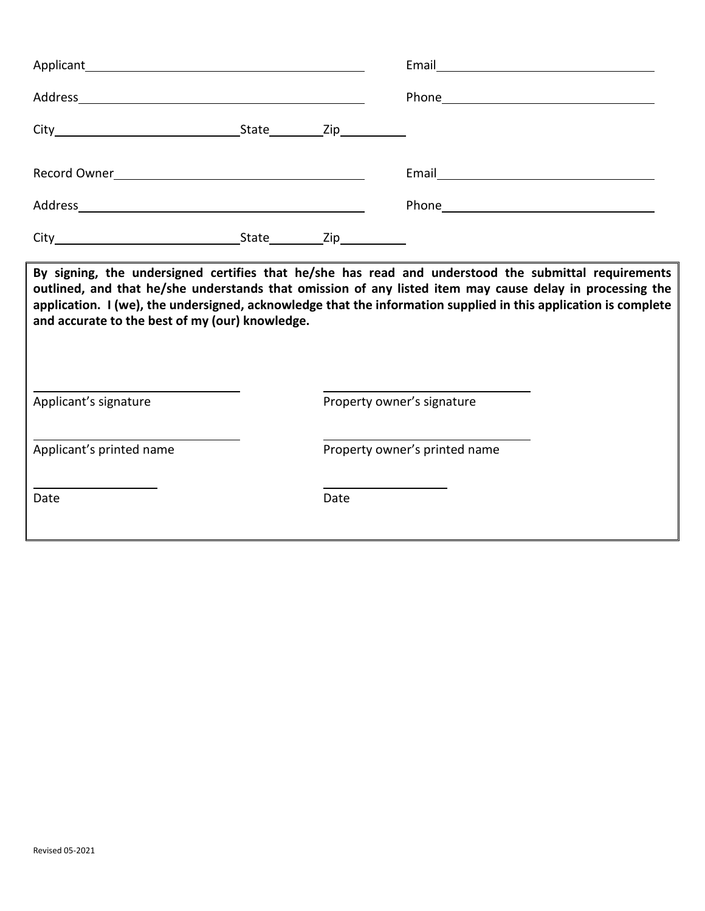|                                                                                                                                                                                                                                                                                                                                                                                        |  |      | Email and the contract of the contract of the contract of the contract of the contract of the contract of the |  |  |  |  |  |
|----------------------------------------------------------------------------------------------------------------------------------------------------------------------------------------------------------------------------------------------------------------------------------------------------------------------------------------------------------------------------------------|--|------|---------------------------------------------------------------------------------------------------------------|--|--|--|--|--|
|                                                                                                                                                                                                                                                                                                                                                                                        |  |      |                                                                                                               |  |  |  |  |  |
|                                                                                                                                                                                                                                                                                                                                                                                        |  |      |                                                                                                               |  |  |  |  |  |
| Record Owner Network and Contract the Contract of the Contract of the Contract of the Contract of the Contract of the Contract of the Contract of the Contract of the Contract of the Contract of the Contract of the Contract                                                                                                                                                         |  |      |                                                                                                               |  |  |  |  |  |
| Address and the contract of the contract of the contract of the contract of the contract of the contract of the                                                                                                                                                                                                                                                                        |  |      |                                                                                                               |  |  |  |  |  |
|                                                                                                                                                                                                                                                                                                                                                                                        |  |      |                                                                                                               |  |  |  |  |  |
| By signing, the undersigned certifies that he/she has read and understood the submittal requirements<br>outlined, and that he/she understands that omission of any listed item may cause delay in processing the<br>application. I (we), the undersigned, acknowledge that the information supplied in this application is complete<br>and accurate to the best of my (our) knowledge. |  |      |                                                                                                               |  |  |  |  |  |
| Applicant's signature                                                                                                                                                                                                                                                                                                                                                                  |  |      | Property owner's signature                                                                                    |  |  |  |  |  |
| Applicant's printed name                                                                                                                                                                                                                                                                                                                                                               |  |      | Property owner's printed name                                                                                 |  |  |  |  |  |
| Date                                                                                                                                                                                                                                                                                                                                                                                   |  | Date |                                                                                                               |  |  |  |  |  |